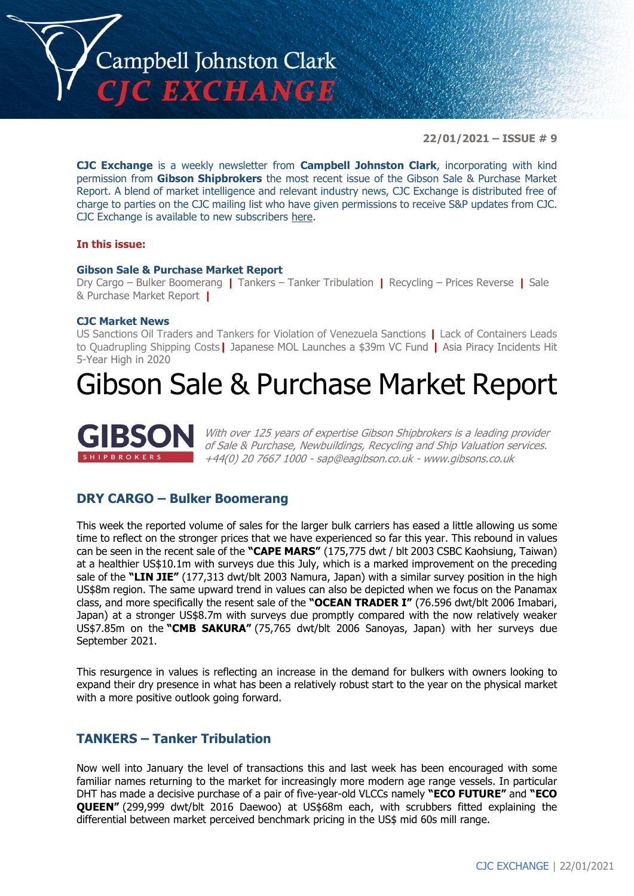

**22/01/2021 – ISSUE # 9**

**CJC Exchange** is a weekly newsletter from **Campbell Johnston Clark**, incorporating with kind permission from **Gibson Shipbrokers** the most recent issue of the Gibson Sale & Purchase Market Report. A blend of market intelligence and relevant industry news, CJC Exchange is distributed free of charge to parties on the CJC mailing list who have given permissions to receive S&P updates from CJC. CJC Exchange is available to new subscribers [here.](mailto:jamesc@cjclaw.com?subject=CJC%20Exchange%20sign-up)

#### **In this issue:**

#### **Gibson Sale & Purchase Market Report**

Dry Cargo – Bulker Boomerang **|** Tankers – Tanker Tribulation **|** Recycling – Prices Reverse **|** Sale & Purchase Market Report **|**

#### **CJC Market News**

US Sanctions Oil Traders and Tankers for Violation of Venezuela Sanctions **|** Lack of Containers Leads to Quadrupling Shipping Costs**|** Japanese MOL Launches a \$39m VC Fund **|** Asia Piracy Incidents Hit 5-Year High in 2020

## Gibson Sale & Purchase Market Report



With over 125 years of expertise Gibson Shipbrokers is a leading provider of Sale & Purchase, Newbuildings, Recycling and Ship Valuation services. +44(0) 20 7667 1000 - [sap@eagibson.co.uk](mailto:sap@eagibson.co.uk) - [www.gibsons.co.uk](https://protect-eu.mimecast.com/s/VO6nCGZzRS60KqcK1jQh/)

#### **DRY CARGO – Bulker Boomerang**

This week the reported volume of sales for the larger bulk carriers has eased a little allowing us some time to reflect on the stronger prices that we have experienced so far this year. This rebound in values can be seen in the recent sale of the **"CAPE MARS"** (175,775 dwt / blt 2003 CSBC Kaohsiung, Taiwan) at a healthier US\$10.1m with surveys due this July, which is a marked improvement on the preceding sale of the **"LIN JIE"** (177,313 dwt/blt 2003 Namura, Japan) with a similar survey position in the high US\$8m region. The same upward trend in values can also be depicted when we focus on the Panamax class, and more specifically the resent sale of the **"OCEAN TRADER I"** (76.596 dwt/blt 2006 Imabari, Japan) at a stronger US\$8.7m with surveys due promptly compared with the now relatively weaker US\$7.85m on the **"CMB SAKURA"** (75,765 dwt/blt 2006 Sanoyas, Japan) with her surveys due September 2021.

This resurgence in values is reflecting an increase in the demand for bulkers with owners looking to expand their dry presence in what has been a relatively robust start to the year on the physical market with a more positive outlook going forward.

#### **TANKERS – Tanker Tribulation**

Now well into January the level of transactions this and last week has been encouraged with some familiar names returning to the market for increasingly more modern age range vessels. In particular DHT has made a decisive purchase of a pair of five-year-old VLCCs namely **"ECO FUTURE"** and **"ECO QUEEN"** (299,999 dwt/blt 2016 Daewoo) at US\$68m each, with scrubbers fitted explaining the differential between market perceived benchmark pricing in the US\$ mid 60s mill range.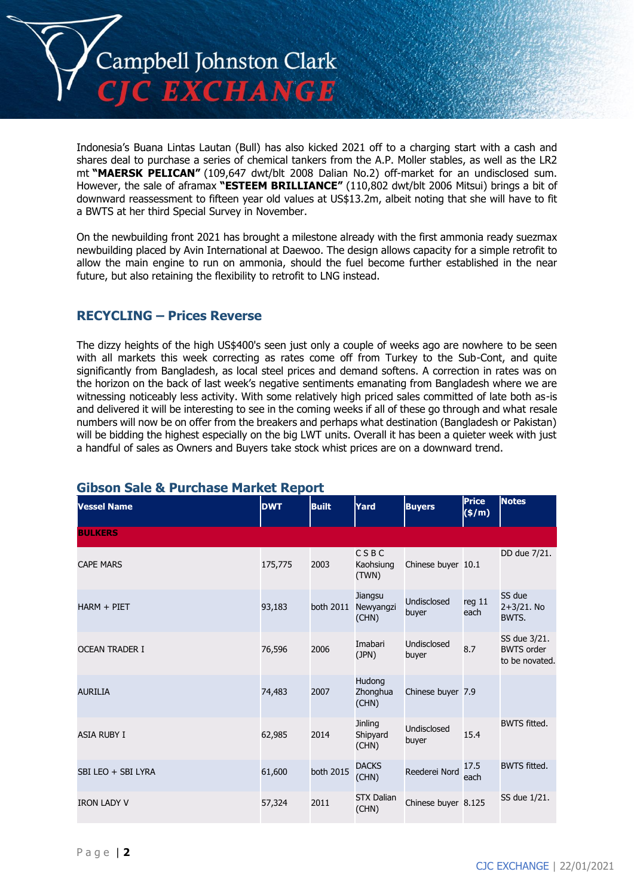

Indonesia's Buana Lintas Lautan (Bull) has also kicked 2021 off to a charging start with a cash and shares deal to purchase a series of chemical tankers from the A.P. Moller stables, as well as the LR2 mt **"MAERSK PELICAN"** (109,647 dwt/blt 2008 Dalian No.2) off-market for an undisclosed sum. However, the sale of aframax **"ESTEEM BRILLIANCE"** (110,802 dwt/blt 2006 Mitsui) brings a bit of downward reassessment to fifteen year old values at US\$13.2m, albeit noting that she will have to fit a BWTS at her third Special Survey in November.

On the newbuilding front 2021 has brought a milestone already with the first ammonia ready suezmax newbuilding placed by Avin International at Daewoo. The design allows capacity for a simple retrofit to allow the main engine to run on ammonia, should the fuel become further established in the near future, but also retaining the flexibility to retrofit to LNG instead.

#### **RECYCLING – Prices Reverse**

The dizzy heights of the high US\$400's seen just only a couple of weeks ago are nowhere to be seen with all markets this week correcting as rates come off from Turkey to the Sub-Cont, and quite significantly from Bangladesh, as local steel prices and demand softens. A correction in rates was on the horizon on the back of last week's negative sentiments emanating from Bangladesh where we are witnessing noticeably less activity. With some relatively high priced sales committed of late both as-is and delivered it will be interesting to see in the coming weeks if all of these go through and what resale numbers will now be on offer from the breakers and perhaps what destination (Bangladesh or Pakistan) will be bidding the highest especially on the big LWT units. Overall it has been a quieter week with just a handful of sales as Owners and Buyers take stock whist prices are on a downward trend.

| <b>Vessel Name</b>    | <b>DWT</b> | <b>Built</b> | Yard                          | <b>Buyers</b>        | <b>Price</b><br>$(\frac{\epsilon}{m})$ | <b>Notes</b>                                        |
|-----------------------|------------|--------------|-------------------------------|----------------------|----------------------------------------|-----------------------------------------------------|
| <b>BULKERS</b>        |            |              |                               |                      |                                        |                                                     |
| <b>CAPE MARS</b>      | 175,775    | 2003         | CSBC<br>Kaohsiung<br>(TWN)    | Chinese buyer 10.1   |                                        | DD due 7/21.                                        |
| HARM + PIET           | 93,183     | both 2011    | Jiangsu<br>Newyangzi<br>(CHN) | Undisclosed<br>buyer | reg <sub>11</sub><br>each              | SS due<br>2+3/21. No<br>BWTS.                       |
| <b>OCEAN TRADER I</b> | 76,596     | 2006         | Imabari<br>(JPN)              | Undisclosed<br>buyer | 8.7                                    | SS due 3/21.<br><b>BWTS order</b><br>to be novated. |
| <b>AURILIA</b>        | 74,483     | 2007         | Hudong<br>Zhonghua<br>(CHN)   | Chinese buyer 7.9    |                                        |                                                     |
| <b>ASIA RUBY I</b>    | 62,985     | 2014         | Jinling<br>Shipyard<br>(CHN)  | Undisclosed<br>buyer | 15.4                                   | <b>BWTS</b> fitted.                                 |
| SBI LEO + SBI LYRA    | 61,600     | both 2015    | <b>DACKS</b><br>(CHN)         | Reederei Nord        | 17.5<br>each                           | <b>BWTS fitted.</b>                                 |
| <b>IRON LADY V</b>    | 57,324     | 2011         | <b>STX Dalian</b><br>(CHN)    | Chinese buyer 8.125  |                                        | SS due 1/21.                                        |

#### **Gibson Sale & Purchase Market Report**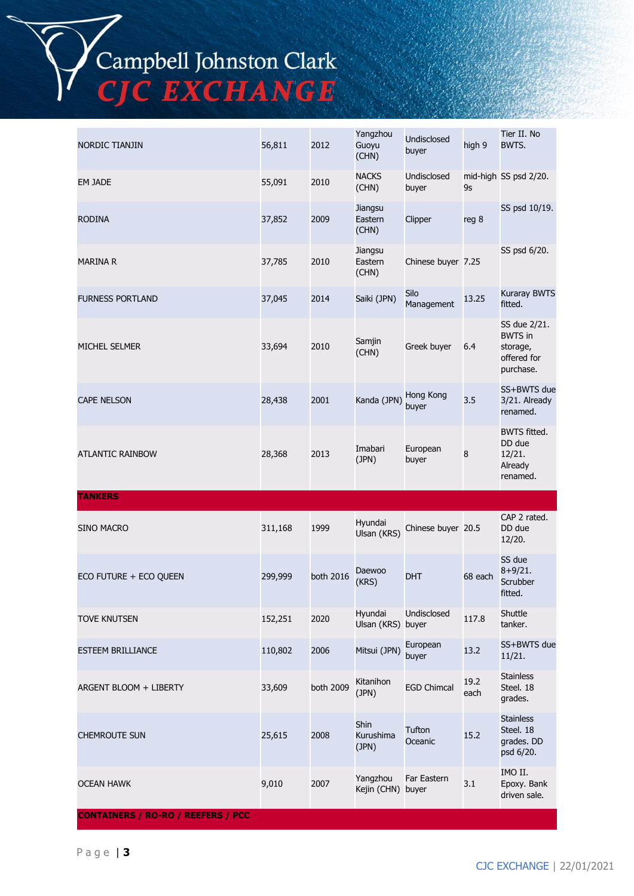

| NORDIC TIANJIN           | 56,811  | 2012      | Yangzhou<br>Guoyu<br>(CHN)        | Undisclosed<br>buyer | high 9       | Tier II. No<br>BWTS.                                                   |
|--------------------------|---------|-----------|-----------------------------------|----------------------|--------------|------------------------------------------------------------------------|
| EM JADE                  | 55,091  | 2010      | <b>NACKS</b><br>(CHN)             | Undisclosed<br>buyer | 9s           | mid-high SS psd 2/20.                                                  |
| <b>RODINA</b>            | 37,852  | 2009      | Jiangsu<br>Eastern<br>(CHN)       | Clipper              | reg 8        | SS psd 10/19.                                                          |
| <b>MARINA R</b>          | 37,785  | 2010      | Jiangsu<br>Eastern<br>(CHN)       | Chinese buyer 7.25   |              | SS psd 6/20.                                                           |
| <b>FURNESS PORTLAND</b>  | 37,045  | 2014      | Saiki (JPN)                       | Silo<br>Management   | 13.25        | Kuraray BWTS<br>fitted.                                                |
| MICHEL SELMER            | 33,694  | 2010      | Samjin<br>(CHN)                   | Greek buyer          | 6.4          | SS due 2/21.<br><b>BWTS</b> in<br>storage,<br>offered for<br>purchase. |
| <b>CAPE NELSON</b>       | 28,438  | 2001      | Kanda (JPN)                       | Hong Kong<br>buyer   | 3.5          | SS+BWTS due<br>3/21. Already<br>renamed.                               |
| ATLANTIC RAINBOW         | 28,368  | 2013      | Imabari<br>(JPN)                  | European<br>buyer    | 8            | <b>BWTS fitted.</b><br>DD due<br>12/21.<br>Already<br>renamed.         |
| <b>TANKERS</b>           |         |           |                                   |                      |              |                                                                        |
| <b>SINO MACRO</b>        | 311,168 | 1999      | Hyundai<br>Ulsan (KRS)            | Chinese buyer 20.5   |              | CAP 2 rated.<br>DD due<br>12/20.                                       |
| ECO FUTURE + ECO QUEEN   | 299,999 | both 2016 | Daewoo<br>(KRS)                   | <b>DHT</b>           | 68 each      | SS due<br>$8+9/21.$<br>Scrubber<br>fitted.                             |
| TOVE KNUTSEN             | 152,251 | 2020      | Hyundai<br>Ulsan (KRS) buyer      | Undisclosed          | 117.8        | Shuttle<br>tanker.                                                     |
| <b>ESTEEM BRILLIANCE</b> | 110,802 | 2006      | Mitsui (JPN)                      | European<br>buyer    | 13.2         | SS+BWTS due<br>11/21.                                                  |
| ARGENT BLOOM + LIBERTY   | 33,609  | both 2009 | Kitanihon<br>(JPN)                | <b>EGD Chimcal</b>   | 19.2<br>each | <b>Stainless</b><br>Steel. 18<br>grades.                               |
| <b>CHEMROUTE SUN</b>     | 25,615  | 2008      | <b>Shin</b><br>Kurushima<br>(JPN) | Tufton<br>Oceanic    | 15.2         | <b>Stainless</b><br>Steel. 18<br>grades. DD<br>psd 6/20.               |
| <b>OCEAN HAWK</b>        | 9,010   | 2007      | Yangzhou<br>Kejin (CHN) buyer     | Far Eastern          | 3.1          | IMO II.<br>Epoxy. Bank<br>driven sale.                                 |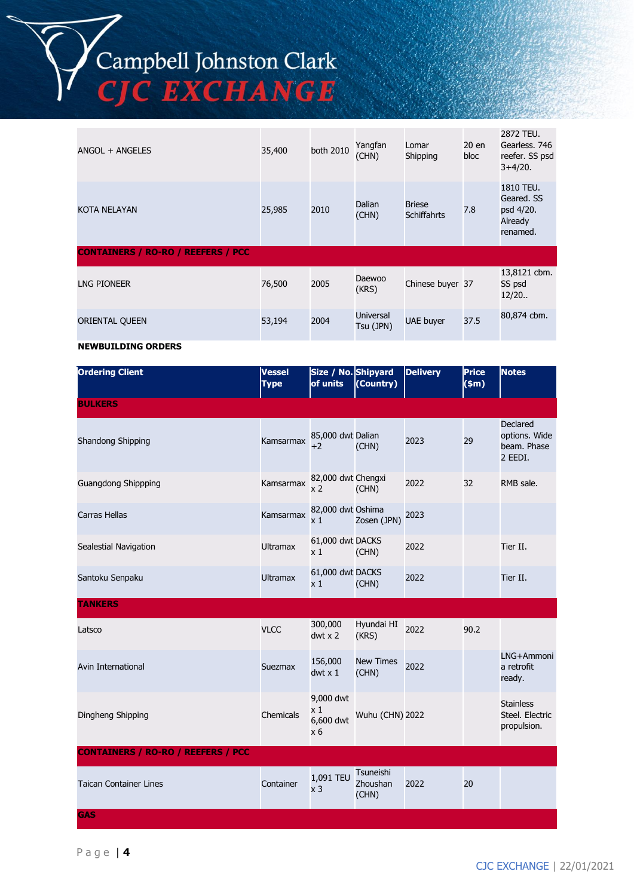

| ANGOL + ANGELES                           | 35,400 | both 2010 | Yangfan<br>(CHN)              | Lomar<br>Shipping                   | 20 en<br>bloc | 2872 TEU.<br>Gearless, 746<br>reefer. SS psd<br>$3+4/20.$   |
|-------------------------------------------|--------|-----------|-------------------------------|-------------------------------------|---------------|-------------------------------------------------------------|
| KOTA NELAYAN                              | 25,985 | 2010      | Dalian<br>(CHN)               | <b>Briese</b><br><b>Schiffahrts</b> | 7.8           | 1810 TEU.<br>Geared, SS<br>psd 4/20.<br>Already<br>renamed. |
| <b>CONTAINERS / RO-RO / REEFERS / PCC</b> |        |           |                               |                                     |               |                                                             |
| <b>LNG PIONEER</b>                        | 76,500 | 2005      | Daewoo<br>(KRS)               | Chinese buyer 37                    |               | 13,8121 cbm.<br>SS psd<br>12/20.                            |
| ORIENTAL QUEEN                            | 53,194 | 2004      | <b>Universal</b><br>Tsu (JPN) | UAE buyer                           | 37.5          | 80,874 cbm.                                                 |

#### **NEWBUILDING ORDERS**

| <b>Ordering Client</b>                    | <b>Vessel</b><br><b>Type</b> | Size / No. Shipyard<br>of units                        | (Country)                      | <b>Delivery</b> | <b>Price</b><br>\$m\$ | <b>Notes</b>                                        |
|-------------------------------------------|------------------------------|--------------------------------------------------------|--------------------------------|-----------------|-----------------------|-----------------------------------------------------|
| <b>BULKERS</b>                            |                              |                                                        |                                |                 |                       |                                                     |
| Shandong Shipping                         | Kamsarmax                    | 85,000 dwt Dalian<br>$+2$                              | (CHN)                          | 2023            | 29                    | Declared<br>options. Wide<br>beam. Phase<br>2 EEDI. |
| <b>Guangdong Shippping</b>                | Kamsarmax                    | 82,000 dwt Chengxi<br>x 2                              | (CHN)                          | 2022            | 32                    | RMB sale.                                           |
| <b>Carras Hellas</b>                      | Kamsarmax                    | 82,000 dwt Oshima<br>x <sub>1</sub>                    | Zosen (JPN)                    | 2023            |                       |                                                     |
| Sealestial Navigation                     | <b>Ultramax</b>              | 61,000 dwt DACKS<br>x <sub>1</sub>                     | (CHN)                          | 2022            |                       | Tier II.                                            |
| Santoku Senpaku                           | <b>Ultramax</b>              | 61,000 dwt DACKS<br>x <sub>1</sub>                     | (CHN)                          | 2022            |                       | Tier II.                                            |
| <b>TANKERS</b>                            |                              |                                                        |                                |                 |                       |                                                     |
| Latsco                                    | <b>VLCC</b>                  | 300,000<br>$dwt \times 2$                              | Hyundai HI<br>(KRS)            | 2022            | 90.2                  |                                                     |
| <b>Avin International</b>                 | Suezmax                      | 156,000<br>$dwt \times 1$                              | <b>New Times</b><br>(CHN)      | 2022            |                       | LNG+Ammoni<br>a retrofit<br>ready.                  |
| Dingheng Shipping                         | Chemicals                    | 9,000 dwt<br>$\times 1$<br>6,600 dwt<br>x <sub>6</sub> | Wuhu (CHN) 2022                |                 |                       | <b>Stainless</b><br>Steel, Electric<br>propulsion.  |
| <b>CONTAINERS / RO-RO / REEFERS / PCC</b> |                              |                                                        |                                |                 |                       |                                                     |
| <b>Taican Container Lines</b>             | Container                    | 1,091 TEU<br>x <sub>3</sub>                            | Tsuneishi<br>Zhoushan<br>(CHN) | 2022            | 20                    |                                                     |
| <b>GAS</b>                                |                              |                                                        |                                |                 |                       |                                                     |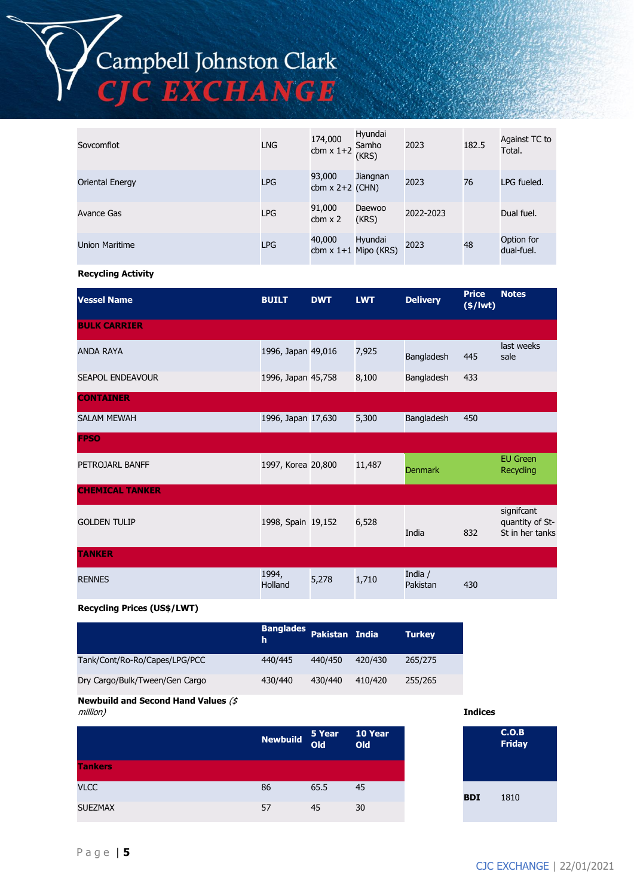# Campbell Johnston Clark<br>CJC EXCHANGE

| Sovcomflot      | <b>LNG</b> | 174,000<br>$cbm \times 1+2$ | Hyundai<br>Samho<br>(KRS)         | 2023      | 182.5 | Against TC to<br>Total.  |
|-----------------|------------|-----------------------------|-----------------------------------|-----------|-------|--------------------------|
| Oriental Energy | <b>LPG</b> | 93,000<br>cbm $x$ 2+2 (CHN) | Jiangnan                          | 2023      | 76    | LPG fueled.              |
| Avance Gas      | <b>LPG</b> | 91,000<br>$cbm \times 2$    | Daewoo<br>(KRS)                   | 2022-2023 |       | Dual fuel.               |
| Union Maritime  | <b>LPG</b> | 40,000                      | Hyundai<br>cbm $x$ 1+1 Mipo (KRS) | 2023      | 48    | Option for<br>dual-fuel. |

#### **Recycling Activity**

| <b>Vessel Name</b>      | <b>BUILT</b>       | <b>DWT</b> | <b>LWT</b> | <b>Delivery</b>     | <b>Price</b><br>$(*)$ lwt $)$ | <b>Notes</b>                                     |
|-------------------------|--------------------|------------|------------|---------------------|-------------------------------|--------------------------------------------------|
| <b>BULK CARRIER</b>     |                    |            |            |                     |                               |                                                  |
| <b>ANDA RAYA</b>        | 1996, Japan 49,016 |            | 7,925      | Bangladesh          | 445                           | last weeks<br>sale                               |
| <b>SEAPOL ENDEAVOUR</b> | 1996, Japan 45,758 |            | 8,100      | Bangladesh          | 433                           |                                                  |
| <b>CONTAINER</b>        |                    |            |            |                     |                               |                                                  |
| <b>SALAM MEWAH</b>      | 1996, Japan 17,630 |            | 5,300      | Bangladesh          | 450                           |                                                  |
| <b>FPSO</b>             |                    |            |            |                     |                               |                                                  |
| PETROJARL BANFF         | 1997, Korea 20,800 |            | 11,487     | <b>Denmark</b>      |                               | <b>EU Green</b><br><b>Recycling</b>              |
| <b>CHEMICAL TANKER</b>  |                    |            |            |                     |                               |                                                  |
| <b>GOLDEN TULIP</b>     | 1998, Spain 19,152 |            | 6,528      | India               | 832                           | signifcant<br>quantity of St-<br>St in her tanks |
| <b>TANKER</b>           |                    |            |            |                     |                               |                                                  |
| <b>RENNES</b>           | 1994,<br>Holland   | 5,278      | 1,710      | India /<br>Pakistan | 430                           |                                                  |

#### **Recycling Prices (US\$/LWT)**

|                                | Banglades Pakistan India<br>h. |         |         | <b>Turkey</b> |
|--------------------------------|--------------------------------|---------|---------|---------------|
| Tank/Cont/Ro-Ro/Capes/LPG/PCC  | 440/445                        | 440/450 | 420/430 | 265/275       |
| Dry Cargo/Bulk/Tween/Gen Cargo | 430/440                        | 430/440 | 410/420 | 255/265       |

#### **Newbuild and Second Hand Values** (\$

| million)       |                 |        |                |
|----------------|-----------------|--------|----------------|
|                | <b>Newbuild</b> | 5 Year | 10 Year<br>Old |
| <b>Tankers</b> |                 |        |                |
| <b>VLCC</b>    | 86              | 65.5   | 45             |
| <b>SUEZMAX</b> | 57              | 45     | 30             |

|            | C.O.B<br><b>Friday</b> |  |
|------------|------------------------|--|
| <b>BDI</b> | 1810                   |  |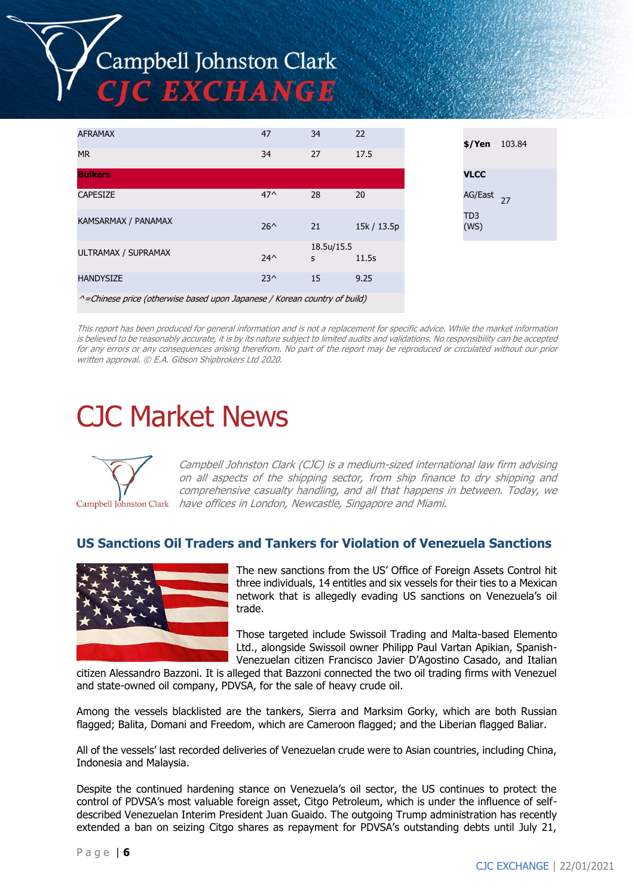# Campbell Johnston Clark C EXCHANGE

| <b>AFRAMAX</b>                                                                    | 47            | 34              | 22          | \$/Yen                  | 103.84 |
|-----------------------------------------------------------------------------------|---------------|-----------------|-------------|-------------------------|--------|
| <b>MR</b>                                                                         | 34            | 27              | 17.5        |                         |        |
| <b>Bulkers</b>                                                                    |               |                 |             | <b>VLCC</b>             |        |
| <b>CAPESIZE</b>                                                                   | $47^$         | 28              | 20          | AG/East                 | 27     |
| KAMSARMAX / PANAMAX                                                               | $26^{\wedge}$ | 21              | 15k / 13.5p | TD <sub>3</sub><br>(WS) |        |
| ULTRAMAX / SUPRAMAX                                                               | $24^$         | 18.5u/15.5<br>s | 11.5s       |                         |        |
| <b>HANDYSIZE</b>                                                                  | $23^{\wedge}$ | 15              | 9.25        |                         |        |
| $\land$ = Chinese price (otherwise based upon Japanese / Korean country of build) |               |                 |             |                         |        |

This report has been produced for general information and is not a replacement for specific advice. While the market information is believed to be reasonably accurate, it is by its nature subject to limited audits and validations. No responsibility can be accepted for any errors or any consequences arising therefrom. No part of the report may be reproduced or circulated without our prior written approval. © E.A. Gibson Shipbrokers Ltd 2020.

## CJC Market News



Campbell Johnston Clark (CJC) is a medium-sized international law firm advising on all aspects of the shipping sector, from ship finance to dry shipping and comprehensive casualty handling, and all that happens in between. Today, we have offices in London, Newcastle, Singapore and Miami.

#### **US Sanctions Oil Traders and Tankers for Violation of Venezuela Sanctions**



The new sanctions from the US' Office of Foreign Assets Control hit three individuals, 14 entitles and six vessels for their ties to a Mexican network that is allegedly evading US sanctions on Venezuela's oil trade.

Those targeted include Swissoil Trading and Malta-based Elemento Ltd., alongside Swissoil owner Philipp Paul Vartan Apikian, Spanish-Venezuelan citizen Francisco Javier D'Agostino Casado, and Italian

citizen Alessandro Bazzoni. It is alleged that Bazzoni connected the two oil trading firms with Venezuel and state-owned oil company, PDVSA, for the sale of heavy crude oil.

Among the vessels blacklisted are the tankers, Sierra and Marksim Gorky, which are both Russian flagged; Balita, Domani and Freedom, which are Cameroon flagged; and the Liberian flagged Baliar.

All of the vessels' last recorded deliveries of Venezuelan crude were to Asian countries, including China, Indonesia and Malaysia.

Despite the continued hardening stance on Venezuela's oil sector, the US continues to protect the control of PDVSA's most valuable foreign asset, Citgo Petroleum, which is under the influence of selfdescribed Venezuelan Interim President Juan Guaido. The outgoing Trump administration has recently extended a ban on seizing Citgo shares as repayment for PDVSA's outstanding debts until July 21,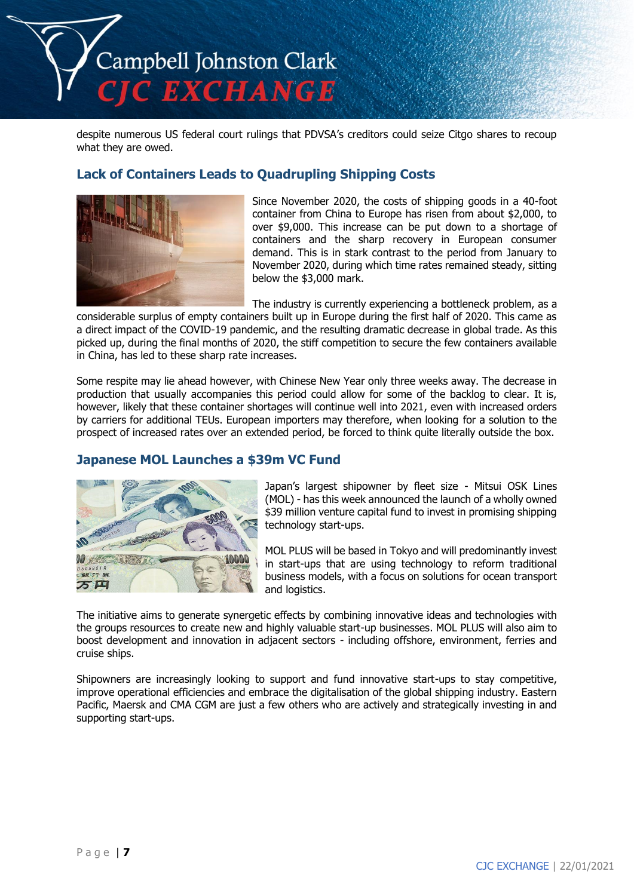

despite numerous US federal court rulings that PDVSA's creditors could seize Citgo shares to recoup what they are owed.

#### **Lack of Containers Leads to Quadrupling Shipping Costs**



Since November 2020, the costs of shipping goods in a 40-foot container from China to Europe has risen from about \$2,000, to over \$9,000. This increase can be put down to a shortage of containers and the sharp recovery in European consumer demand. This is in stark contrast to the period from January to November 2020, during which time rates remained steady, sitting below the \$3,000 mark.

The industry is currently experiencing a bottleneck problem, as a

considerable surplus of empty containers built up in Europe during the first half of 2020. This came as a direct impact of the COVID-19 pandemic, and the resulting dramatic decrease in global trade. As this picked up, during the final months of 2020, the stiff competition to secure the few containers available in China, has led to these sharp rate increases.

Some respite may lie ahead however, with Chinese New Year only three weeks away. The decrease in production that usually accompanies this period could allow for some of the backlog to clear. It is, however, likely that these container shortages will continue well into 2021, even with increased orders by carriers for additional TEUs. European importers may therefore, when looking for a solution to the prospect of increased rates over an extended period, be forced to think quite literally outside the box.

#### **Japanese MOL Launches a \$39m VC Fund**



Japan's largest shipowner by fleet size - Mitsui OSK Lines (MOL) - has this week announced the launch of a wholly owned \$39 million venture capital fund to invest in promising shipping technology start-ups.

MOL PLUS will be based in Tokyo and will predominantly invest in start-ups that are using technology to reform traditional business models, with a focus on solutions for ocean transport and logistics.

The initiative aims to generate synergetic effects by combining innovative ideas and technologies with the groups resources to create new and highly valuable start-up businesses. MOL PLUS will also aim to boost development and innovation in adjacent sectors - including offshore, environment, ferries and cruise ships.

Shipowners are increasingly looking to support and fund innovative start-ups to stay competitive, improve operational efficiencies and embrace the digitalisation of the global shipping industry. Eastern Pacific, Maersk and CMA CGM are just a few others who are actively and strategically investing in and supporting start-ups.